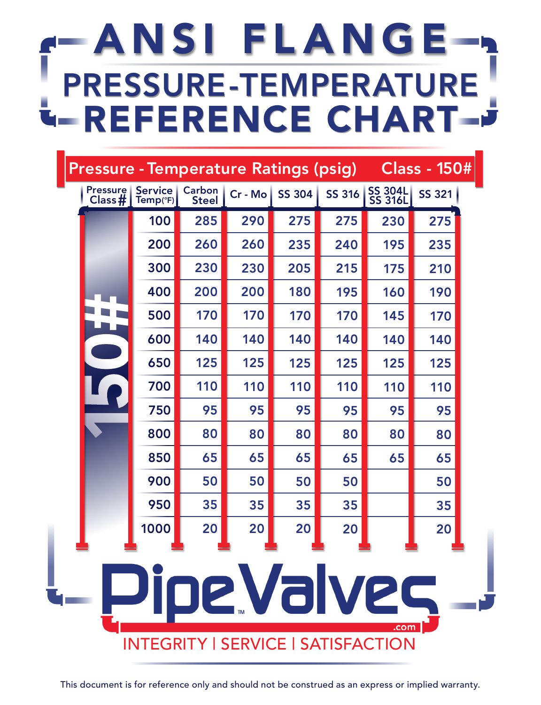| <b>Pressure</b> | <b>Service</b>                                           | Carbon              | Cr - Mo | <b>Pressure - Temperature Ratings (psig)</b><br><b>SS 304</b> | SS 316 | SS 304L<br>SS 316L | Class - 150#<br><b>SS 321</b> |
|-----------------|----------------------------------------------------------|---------------------|---------|---------------------------------------------------------------|--------|--------------------|-------------------------------|
| Class #         | Temp(°F)<br>100                                          | <b>Steel</b><br>285 | 290     | 275                                                           | 275    | 230                | 275                           |
|                 | 200                                                      | 260                 | 260     | 235                                                           | 240    | 195                | 235                           |
|                 | 300                                                      | 230                 | 230     | 205                                                           | 215    | 175                | 210                           |
|                 | 400                                                      | 200                 | 200     | 180                                                           | 195    | 160                | 190                           |
|                 | 500                                                      | 170                 | 170     | 170                                                           | 170    | 145                | 170                           |
|                 | 600                                                      | 140                 | 140     | 140                                                           | 140    | 140                | 140                           |
|                 | 650                                                      | 125                 | 125     | 125                                                           | 125    | 125                | 125                           |
|                 | 700                                                      | 110                 | 110     | 110                                                           | 110    | 110                | 110                           |
|                 | 750                                                      | 95                  | 95      | 95                                                            | 95     | 95                 | 95                            |
|                 | 800                                                      | 80                  | 80      | 80                                                            | 80     | 80                 | 80                            |
|                 | 850                                                      | 65                  | 65      | 65                                                            | 65     | 65                 | 65                            |
|                 | 900                                                      | 50                  | 50      | 50                                                            | 50     |                    | 50                            |
|                 | 950                                                      | 35                  | 35      | 35                                                            | 35     |                    | 35                            |
|                 | 1000                                                     | 20                  | 20      | 20                                                            | 20     |                    | 20                            |
|                 | Pipe.Valves<br><b>INTEGRITY   SERVICE   SATISFACTION</b> |                     |         |                                                               |        | .com               |                               |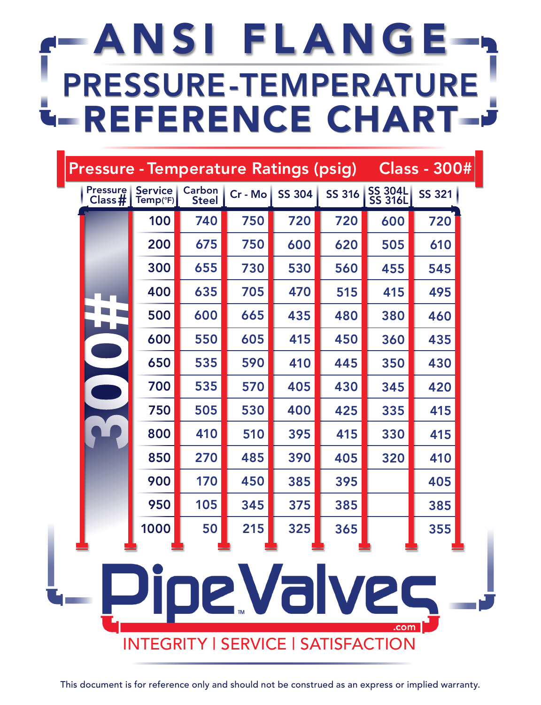| <b>Pressure</b><br>Class# | <b>Service</b><br>Temp(°F) | Carbon<br><b>Steel</b> | Cr - Mo | <b>SS 304</b> | SS 316 | SS 304L<br>SS 316L                                               | <b>SS 321</b> |
|---------------------------|----------------------------|------------------------|---------|---------------|--------|------------------------------------------------------------------|---------------|
|                           | 100                        | 740                    | 750     | 720           | 720    | 600                                                              | 720           |
|                           | 200                        | 675                    | 750     | 600           | 620    | 505                                                              | 610           |
|                           | 300                        | 655                    | 730     | 530           | 560    | 455                                                              | 545           |
|                           | 400                        | 635                    | 705     | 470           | 515    | 415                                                              | 495           |
|                           | 500                        | 600                    | 665     | 435           | 480    | 380                                                              | 460           |
|                           | 600                        | 550                    | 605     | 415           | 450    | 360                                                              | 435           |
|                           | 650                        | 535                    | 590     | 410           | 445    | 350                                                              | 430           |
|                           | 700                        | 535                    | 570     | 405           | 430    | 345                                                              | 420           |
|                           | 750                        | 505                    | 530     | 400           | 425    | 335                                                              | 415           |
|                           | 800                        | 410                    | 510     | 395           | 415    | 330                                                              | 415           |
|                           | 850                        | 270                    | 485     | 390           | 405    | 320                                                              | 410           |
|                           | 900                        | 170                    | 450     | 385           | 395    |                                                                  | 405           |
|                           | 950                        | 105                    | 345     | 375           | 385    |                                                                  | 385           |
|                           | 1000                       | 50                     | 215     | 325           | 365    |                                                                  | 355           |
|                           |                            |                        |         |               |        | Pipe Valves<br>.com<br><b>INTEGRITY   SERVICE   SATISFACTION</b> |               |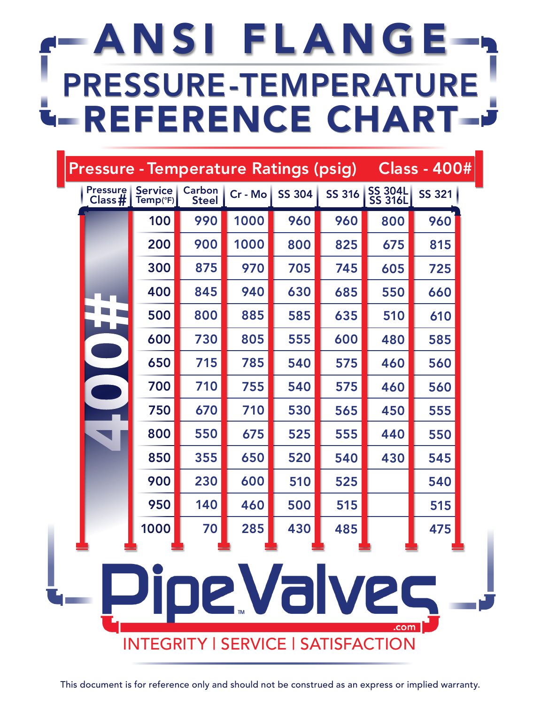| <b>Pressure</b><br>Class # | <b>Service</b><br>Temp(°F)<br>100 | Carbon<br><b>Steel</b><br>990 | Cr - Mo<br>1000 | <b>SS 304</b> | SS 316     | SS 304L<br>SS 316L                                               | <b>SS 321</b> |
|----------------------------|-----------------------------------|-------------------------------|-----------------|---------------|------------|------------------------------------------------------------------|---------------|
|                            | 200                               | 900                           | 1000            | 960<br>800    | 960<br>825 | 800<br>675                                                       | 960<br>815    |
|                            | 300                               | 875                           | 970             | 705           | 745        | 605                                                              | 725           |
|                            | 400                               | 845                           | 940             | 630           | 685        | 550                                                              | 660           |
|                            | 500                               | 800                           | 885             | 585           | 635        | 510                                                              | 610           |
|                            | 600                               | 730                           | 805             | 555           | 600        | 480                                                              | 585           |
|                            | 650                               | 715                           | 785             | 540           | 575        | 460                                                              | 560           |
|                            | 700                               | 710                           | 755             | 540           | 575        | 460                                                              | 560           |
|                            | 750                               | 670                           | 710             | 530           | 565        | 450                                                              | 555           |
|                            | 800                               | 550                           | 675             | 525           | 555        | 440                                                              | 550           |
|                            | 850                               | 355                           | 650             | 520           | 540        | 430                                                              | 545           |
|                            | 900                               | 230                           | 600             | 510           | 525        |                                                                  | 540           |
|                            | 950                               | 140                           | 460             | 500           | 515        |                                                                  | 515           |
|                            | 1000                              | 70                            | 285             | 430           | 485        |                                                                  | 475           |
|                            |                                   |                               |                 |               |            | Pipe.Valves<br>.com<br><b>INTEGRITY   SERVICE   SATISFACTION</b> |               |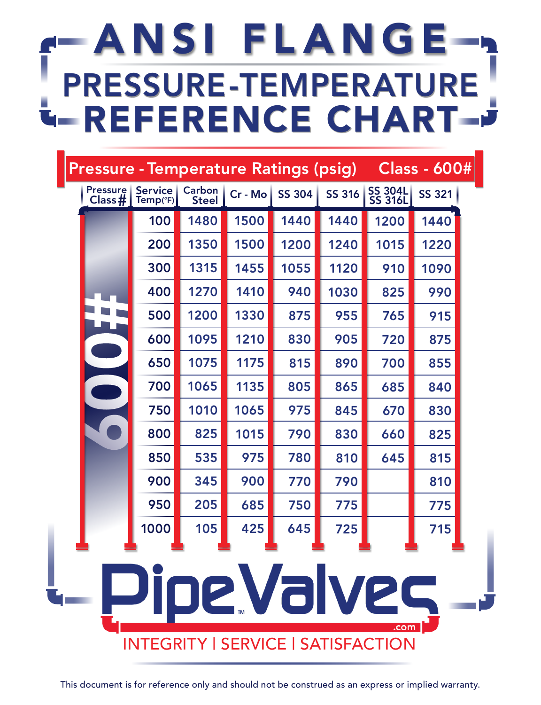| <b>Pressure</b><br>Class # | <b>Service</b><br>Temp(°F)                | Carbon<br><b>Steel</b> | Cr - Mo | <b>SS 304</b> | SS 316 | SS 304L<br>SS 316L  | <b>SS 321</b> |
|----------------------------|-------------------------------------------|------------------------|---------|---------------|--------|---------------------|---------------|
|                            | 100                                       | 1480                   | 1500    | 1440          | 1440   | 1200                | 1440          |
|                            | 200                                       | 1350                   | 1500    | 1200          | 1240   | 1015                | 1220          |
|                            | 300                                       | 1315                   | 1455    | 1055          | 1120   | 910                 | 1090          |
|                            | 400                                       | 1270                   | 1410    | 940           | 1030   | 825                 | 990           |
|                            | 500                                       | 1200                   | 1330    | 875           | 955    | 765                 | 915           |
|                            | 600                                       | 1095                   | 1210    | 830           | 905    | 720                 | 875           |
|                            | 650                                       | 1075                   | 1175    | 815           | 890    | 700                 | 855           |
|                            | 700                                       | 1065                   | 1135    | 805           | 865    | 685                 | 840           |
|                            | 750                                       | 1010                   | 1065    | 975           | 845    | 670                 | 830           |
|                            | 800                                       | 825                    | 1015    | 790           | 830    | 660                 | 825           |
|                            | 850                                       | 535                    | 975     | 780           | 810    | 645                 | 815           |
|                            | 900                                       | 345                    | 900     | 770           | 790    |                     | 810           |
|                            | 950                                       | 205                    | 685     | 750           | 775    |                     | 775           |
|                            | 1000                                      | 105                    | 425     | 645           | 725    |                     | 715           |
|                            | <b>INTEGRITY   SERVICE   SATISFACTION</b> |                        |         |               |        | Pipe.Valves<br>.com |               |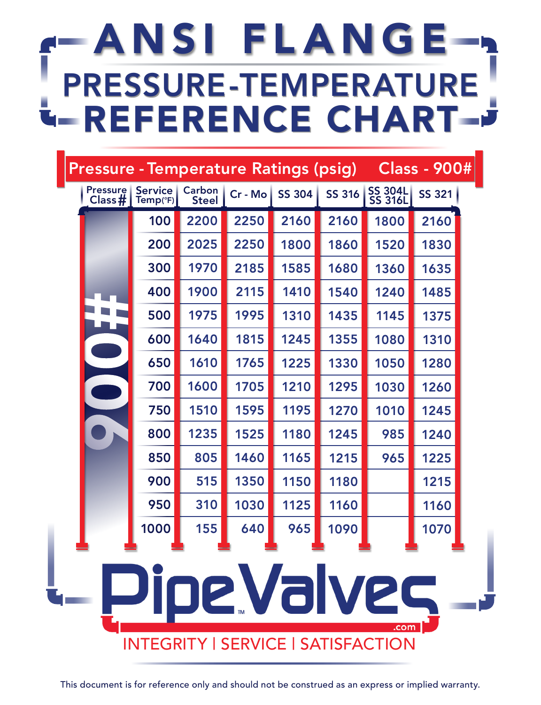| <b>Pressure</b><br>Class# | <b>Service</b><br>$Temp(^cF)$             | Carbon<br><b>Steel</b> | Cr - Mo | <b>SS 304</b> | <b>SS 316</b> | SS 304L<br>SS 316L         | <b>SS 321</b> |
|---------------------------|-------------------------------------------|------------------------|---------|---------------|---------------|----------------------------|---------------|
|                           | 100                                       | 2200                   | 2250    | 2160          | 2160          | 1800                       | 2160          |
|                           | 200                                       | 2025                   | 2250    | 1800          | 1860          | 1520                       | 1830          |
|                           | 300                                       | 1970                   | 2185    | 1585          | 1680          | 1360                       | 1635          |
|                           | 400                                       | 1900                   | 2115    | 1410          | 1540          | 1240                       | 1485          |
|                           | 500                                       | 1975                   | 1995    | 1310          | 1435          | 1145                       | 1375          |
|                           | 600                                       | 1640                   | 1815    | 1245          | 1355          | 1080                       | 1310          |
|                           | 650                                       | 1610                   | 1765    | 1225          | 1330          | 1050                       | 1280          |
|                           | 700                                       | 1600                   | 1705    | 1210          | 1295          | 1030                       | 1260          |
|                           | 750                                       | 1510                   | 1595    | 1195          | 1270          | 1010                       | 1245          |
|                           | 800                                       | 1235                   | 1525    | 1180          | 1245          | 985                        | 1240          |
|                           | 850                                       | 805                    | 1460    | 1165          | 1215          | 965                        | 1225          |
|                           | 900                                       | 515                    | 1350    | 1150          | 1180          |                            | 1215          |
|                           | 950                                       | 310                    | 1030    | 1125          | 1160          |                            | 1160          |
|                           | 1000                                      | 155                    | 640     | 965           | 1090          |                            | 1070          |
|                           | <b>INTEGRITY   SERVICE   SATISFACTION</b> |                        |         |               |               | <u>Pipe Valves</u><br>.com |               |